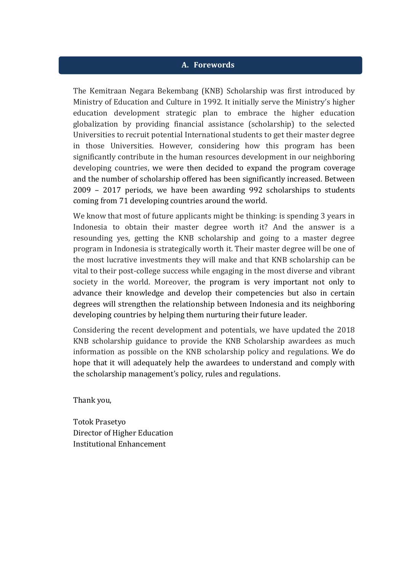#### **A. Forewords**

The Kemitraan Negara Bekembang (KNB) Scholarship was first introduced by Ministry of Education and Culture in 1992. It initially serve the Ministry's higher education development strategic plan to embrace the higher education globalization by providing financial assistance (scholarship) to the selected Universities to recruit potential International students to get their master degree in those Universities. However, considering how this program has been significantly contribute in the human resources development in our neighboring developing countries, we were then decided to expand the program coverage and the number of scholarship offered has been significantly increased. Between 2009 – 2017 periods, we have been awarding 992 scholarships to students coming from 71 developing countries around the world.

We know that most of future applicants might be thinking: is spending 3 years in Indonesia to obtain their master degree worth it? And the answer is a resounding yes, getting the KNB scholarship and going to a master degree program in Indonesia is strategically worth it. Their master degree will be one of the most lucrative investments they will make and that KNB scholarship can be vital to their post-college success while engaging in the most diverse and vibrant society in the world. Moreover, the program is very important not only to advance their knowledge and develop their competencies but also in certain degrees will strengthen the relationship between Indonesia and its neighboring developing countries by helping them nurturing their future leader.

Considering the recent development and potentials, we have updated the 2018 KNB scholarship guidance to provide the KNB Scholarship awardees as much information as possible on the KNB scholarship policy and regulations. We do hope that it will adequately help the awardees to understand and comply with the scholarship management's policy, rules and regulations.

Thank you,

Totok Prasetyo Director of Higher Education Institutional Enhancement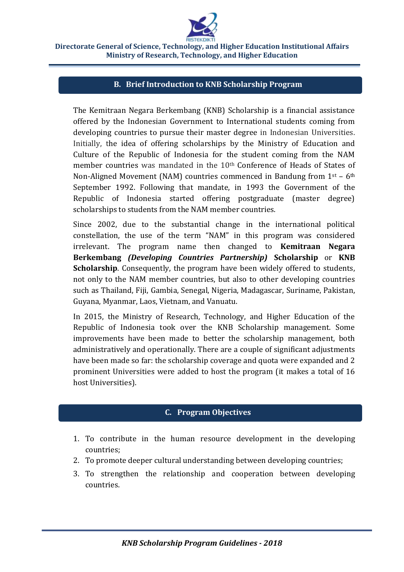

### **B. Brief Introduction to KNB Scholarship Program**

The Kemitraan Negara Berkembang (KNB) Scholarship is a financial assistance offered by the Indonesian Government to International students coming from developing countries to pursue their master degree in Indonesian Universities. Initially, the idea of offering scholarships by the Ministry of Education and Culture of the Republic of Indonesia for the student coming from the NAM member countries was mandated in the 10<sup>th</sup> Conference of Heads of States of Non-Aligned Movement (NAM) countries commenced in Bandung from  $1<sup>st</sup> - 6<sup>th</sup>$ September 1992. Following that mandate, in 1993 the Government of the Republic of Indonesia started offering postgraduate (master degree) scholarships to students from the NAM member countries.

Since 2002, due to the substantial change in the international political constellation, the use of the term "NAM" in this program was considered irrelevant. The program name then changed to **Kemitraan Negara Berkembang** *(Developing Countries Partnership)* **Scholarship** or **KNB Scholarship**. Consequently, the program have been widely offered to students, not only to the NAM member countries, but also to other developing countries such as Thailand, Fiji, Gambia, Senegal, Nigeria, Madagascar, Suriname, Pakistan, Guyana, Myanmar, Laos, Vietnam, and Vanuatu.

In 2015, the Ministry of Research, Technology, and Higher Education of the Republic of Indonesia took over the KNB Scholarship management. Some improvements have been made to better the scholarship management, both administratively and operationally. There are a couple of significant adjustments have been made so far: the scholarship coverage and quota were expanded and 2 prominent Universities were added to host the program (it makes a total of 16 host Universities).

### **C. Program Objectives**

- 1. To contribute in the human resource development in the developing countries;
- 2. To promote deeper cultural understanding between developing countries;
- 3. To strengthen the relationship and cooperation between developing countries.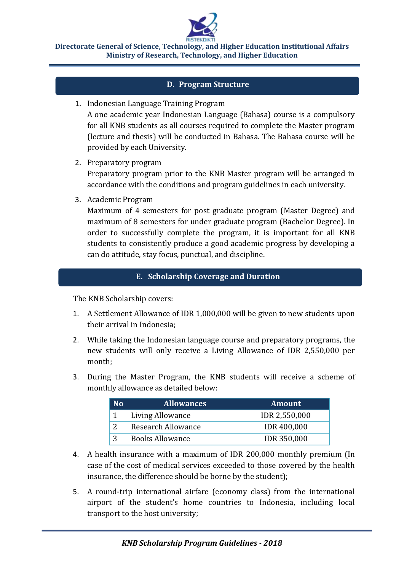

### **D. Program Structure**

1. Indonesian Language Training Program

A one academic year Indonesian Language (Bahasa) course is a compulsory for all KNB students as all courses required to complete the Master program (lecture and thesis) will be conducted in Bahasa. The Bahasa course will be provided by each University.

- 2. Preparatory program Preparatory program prior to the KNB Master program will be arranged in accordance with the conditions and program guidelines in each university.
- 3. Academic Program

Maximum of 4 semesters for post graduate program (Master Degree) and maximum of 8 semesters for under graduate program (Bachelor Degree). In order to successfully complete the program, it is important for all KNB students to consistently produce a good academic progress by developing a can do attitude, stay focus, punctual, and discipline.

### **E. Scholarship Coverage and Duration**

The KNB Scholarship covers:

- 1. A Settlement Allowance of IDR 1,000,000 will be given to new students upon their arrival in Indonesia;
- 2. While taking the Indonesian language course and preparatory programs, the new students will only receive a Living Allowance of IDR 2,550,000 per month;
- 3. During the Master Program, the KNB students will receive a scheme of monthly allowance as detailed below:

| No | <b>Allowances</b>      | <b>Amount</b>        |
|----|------------------------|----------------------|
|    | Living Allowance       | <b>IDR 2,550,000</b> |
|    | Research Allowance     | <b>IDR 400,000</b>   |
| 3  | <b>Books Allowance</b> | <b>IDR 350,000</b>   |

- 4. A health insurance with a maximum of IDR 200,000 monthly premium (In case of the cost of medical services exceeded to those covered by the health insurance, the difference should be borne by the student);
- 5. A round-trip international airfare (economy class) from the international airport of the student's home countries to Indonesia, including local transport to the host university;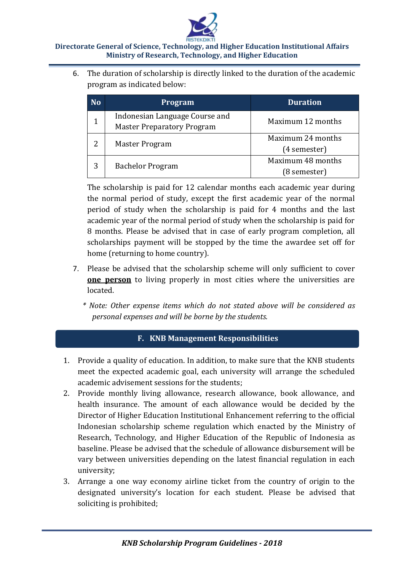

6. The duration of scholarship is directly linked to the duration of the academic program as indicated below:

| <b>No</b> | Program                                                             | <b>Duration</b>                   |
|-----------|---------------------------------------------------------------------|-----------------------------------|
|           | Indonesian Language Course and<br><b>Master Preparatory Program</b> | Maximum 12 months                 |
| 2         | Master Program                                                      | Maximum 24 months<br>(4 semester) |
| 3         | <b>Bachelor Program</b>                                             | Maximum 48 months<br>(8 semester) |

The scholarship is paid for 12 calendar months each academic year during the normal period of study, except the first academic year of the normal period of study when the scholarship is paid for 4 months and the last academic year of the normal period of study when the scholarship is paid for 8 months. Please be advised that in case of early program completion, all scholarships payment will be stopped by the time the awardee set off for home (returning to home country).

- 7. Please be advised that the scholarship scheme will only sufficient to cover **one person** to living properly in most cities where the universities are located.
	- *\* Note: Other expense items which do not stated above will be considered as personal expenses and will be borne by the students.*

## **F. KNB Management Responsibilities**

- 1. Provide a quality of education. In addition, to make sure that the KNB students meet the expected academic goal, each university will arrange the scheduled academic advisement sessions for the students;
- 2. Provide monthly living allowance, research allowance, book allowance, and health insurance. The amount of each allowance would be decided by the Director of Higher Education Institutional Enhancement referring to the official Indonesian scholarship scheme regulation which enacted by the Ministry of Research, Technology, and Higher Education of the Republic of Indonesia as baseline. Please be advised that the schedule of allowance disbursement will be vary between universities depending on the latest financial regulation in each university;
- 3. Arrange a one way economy airline ticket from the country of origin to the designated university's location for each student. Please be advised that soliciting is prohibited;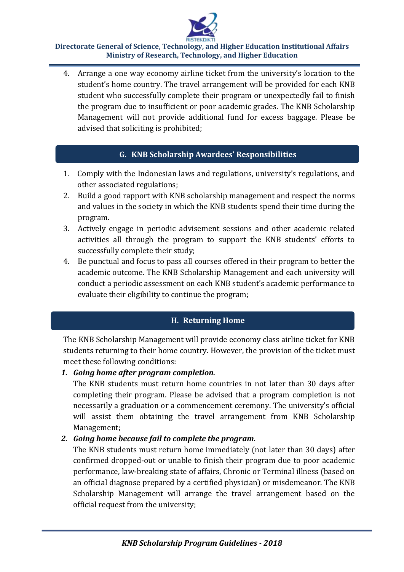4. Arrange a one way economy airline ticket from the university's location to the student's home country. The travel arrangement will be provided for each KNB student who successfully complete their program or unexpectedly fail to finish the program due to insufficient or poor academic grades. The KNB Scholarship Management will not provide additional fund for excess baggage. Please be advised that soliciting is prohibited;

# **G. KNB Scholarship Awardees' Responsibilities**

- 1. Comply with the Indonesian laws and regulations, university's regulations, and other associated regulations;
- 2. Build a good rapport with KNB scholarship management and respect the norms and values in the society in which the KNB students spend their time during the program.
- 3. Actively engage in periodic advisement sessions and other academic related activities all through the program to support the KNB students' efforts to successfully complete their study;
- 4. Be punctual and focus to pass all courses offered in their program to better the academic outcome. The KNB Scholarship Management and each university will conduct a periodic assessment on each KNB student's academic performance to evaluate their eligibility to continue the program;

# **H. Returning Home**

The KNB Scholarship Management will provide economy class airline ticket for KNB students returning to their home country. However, the provision of the ticket must meet these following conditions:

## *1. Going home after program completion.*

The KNB students must return home countries in not later than 30 days after completing their program. Please be advised that a program completion is not necessarily a graduation or a commencement ceremony. The university's official will assist them obtaining the travel arrangement from KNB Scholarship Management;

## *2. Going home because fail to complete the program.*

The KNB students must return home immediately (not later than 30 days) after confirmed dropped-out or unable to finish their program due to poor academic performance, law-breaking state of affairs, Chronic or Terminal illness (based on an official diagnose prepared by a certified physician) or misdemeanor. The KNB Scholarship Management will arrange the travel arrangement based on the official request from the university;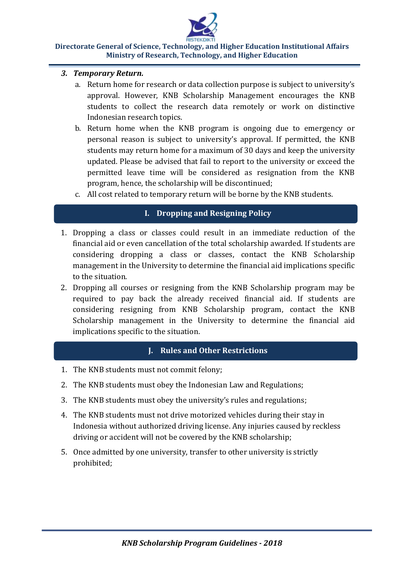- *3. Temporary Return.*
	- a. Return home for research or data collection purpose is subject to university's approval. However, KNB Scholarship Management encourages the KNB students to collect the research data remotely or work on distinctive Indonesian research topics.
	- b. Return home when the KNB program is ongoing due to emergency or personal reason is subject to university's approval. If permitted, the KNB students may return home for a maximum of 30 days and keep the university updated. Please be advised that fail to report to the university or exceed the permitted leave time will be considered as resignation from the KNB program, hence, the scholarship will be discontinued;
	- c. All cost related to temporary return will be borne by the KNB students.

# **I. Dropping and Resigning Policy**

- 1. Dropping a class or classes could result in an immediate reduction of the financial aid or even cancellation of the total scholarship awarded. If students are considering dropping a class or classes, contact the KNB Scholarship management in the University to determine the financial aid implications specific to the situation.
- 2. Dropping all courses or resigning from the KNB Scholarship program may be required to pay back the already received financial aid. If students are considering resigning from KNB Scholarship program, contact the KNB Scholarship management in the University to determine the financial aid implications specific to the situation.

## **J. Rules and Other Restrictions**

- 1. The KNB students must not commit felony;
- 2. The KNB students must obey the Indonesian Law and Regulations;
- 3. The KNB students must obey the university's rules and regulations;
- 4. The KNB students must not drive motorized vehicles during their stay in Indonesia without authorized driving license. Any injuries caused by reckless driving or accident will not be covered by the KNB scholarship;
- 5. Once admitted by one university, transfer to other university is strictly prohibited;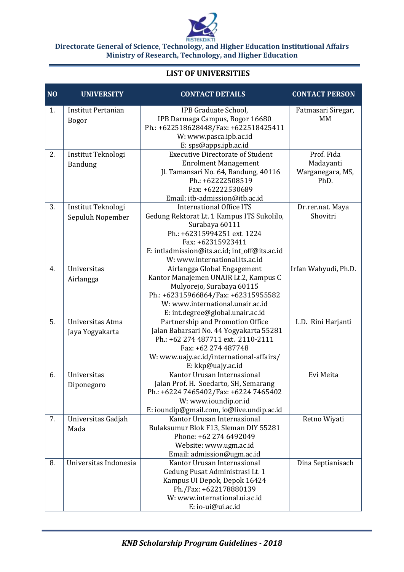

### **LIST OF UNIVERSITIES**

| N <sub>O</sub> | <b>UNIVERSITY</b>         | <b>CONTACT DETAILS</b>                                                        | <b>CONTACT PERSON</b>    |
|----------------|---------------------------|-------------------------------------------------------------------------------|--------------------------|
| 1.             | <b>Institut Pertanian</b> | IPB Graduate School,                                                          | Fatmasari Siregar,       |
|                | <b>Bogor</b>              | IPB Darmaga Campus, Bogor 16680                                               | MM                       |
|                |                           | Ph.: +622518628448/Fax: +622518425411                                         |                          |
|                |                           | W: www.pasca.ipb.ac.id                                                        |                          |
|                |                           | E: sps@apps.ipb.ac.id                                                         |                          |
| 2.             | Institut Teknologi        | <b>Executive Directorate of Student</b>                                       | Prof. Fida               |
|                | Bandung                   | <b>Enrolment Management</b>                                                   | Madayanti                |
|                |                           | Jl. Tamansari No. 64, Bandung, 40116<br>Ph.: +62222508519                     | Warganegara, MS,<br>PhD. |
|                |                           | Fax: +62222530689                                                             |                          |
|                |                           | Email: itb-admission@itb.ac.id                                                |                          |
| 3.             | Institut Teknologi        | <b>International Office ITS</b>                                               | Dr.rer.nat. Maya         |
|                | Sepuluh Nopember          | Gedung Rektorat Lt. 1 Kampus ITS Sukolilo,                                    | Shovitri                 |
|                |                           | Surabaya 60111                                                                |                          |
|                |                           | Ph.: +62315994251 ext. 1224                                                   |                          |
|                |                           | Fax: +62315923411                                                             |                          |
|                |                           | E: intladmission@its.ac.id; int_off@its.ac.id                                 |                          |
|                |                           | W: www.international.its.ac.id                                                |                          |
| 4.             | Universitas               | Airlangga Global Engagement                                                   | Irfan Wahyudi, Ph.D.     |
|                | Airlangga                 | Kantor Manajemen UNAIR Lt.2, Kampus C                                         |                          |
|                |                           | Mulyorejo, Surabaya 60115                                                     |                          |
|                |                           | Ph.: +62315966864/Fax: +62315955582                                           |                          |
|                |                           | W: www.international.unair.ac.id                                              |                          |
|                |                           | E: int.degree@global.unair.ac.id                                              |                          |
| 5.             | Universitas Atma          | Partnership and Promotion Office                                              | L.D. Rini Harjanti       |
|                | Jaya Yogyakarta           | Jalan Babarsari No. 44 Yogyakarta 55281<br>Ph.: +62 274 487711 ext. 2110-2111 |                          |
|                |                           | Fax: +62 274 487748                                                           |                          |
|                |                           | W: www.uajy.ac.id/international-affairs/                                      |                          |
|                |                           | E: kkp@uajy.ac.id                                                             |                          |
| 6.             | Universitas               | Kantor Urusan Internasional                                                   | Evi Meita                |
|                | Diponegoro                | Jalan Prof. H. Soedarto, SH, Semarang                                         |                          |
|                |                           | Ph.: +6224 7465402/Fax: +6224 7465402                                         |                          |
|                |                           | W: www.ioundip.or.id                                                          |                          |
|                |                           | E: ioundip@gmail.com, io@live.undip.ac.id                                     |                          |
| 7.             | Universitas Gadjah        | Kantor Urusan Internasional                                                   | Retno Wiyati             |
|                | Mada                      | Bulaksumur Blok F13, Sleman DIY 55281                                         |                          |
|                |                           | Phone: +62 274 6492049                                                        |                          |
|                |                           | Website: www.ugm.ac.id                                                        |                          |
|                |                           | Email: admission@ugm.ac.id                                                    |                          |
| 8.             | Universitas Indonesia     | Kantor Urusan Internasional                                                   | Dina Septianisach        |
|                |                           | Gedung Pusat Administrasi Lt. 1                                               |                          |
|                |                           | Kampus UI Depok, Depok 16424                                                  |                          |
|                |                           | Ph./Fax: +622178880139                                                        |                          |
|                |                           | W: www.international.ui.ac.id                                                 |                          |
|                |                           | E: io-ui@ui.ac.id                                                             |                          |